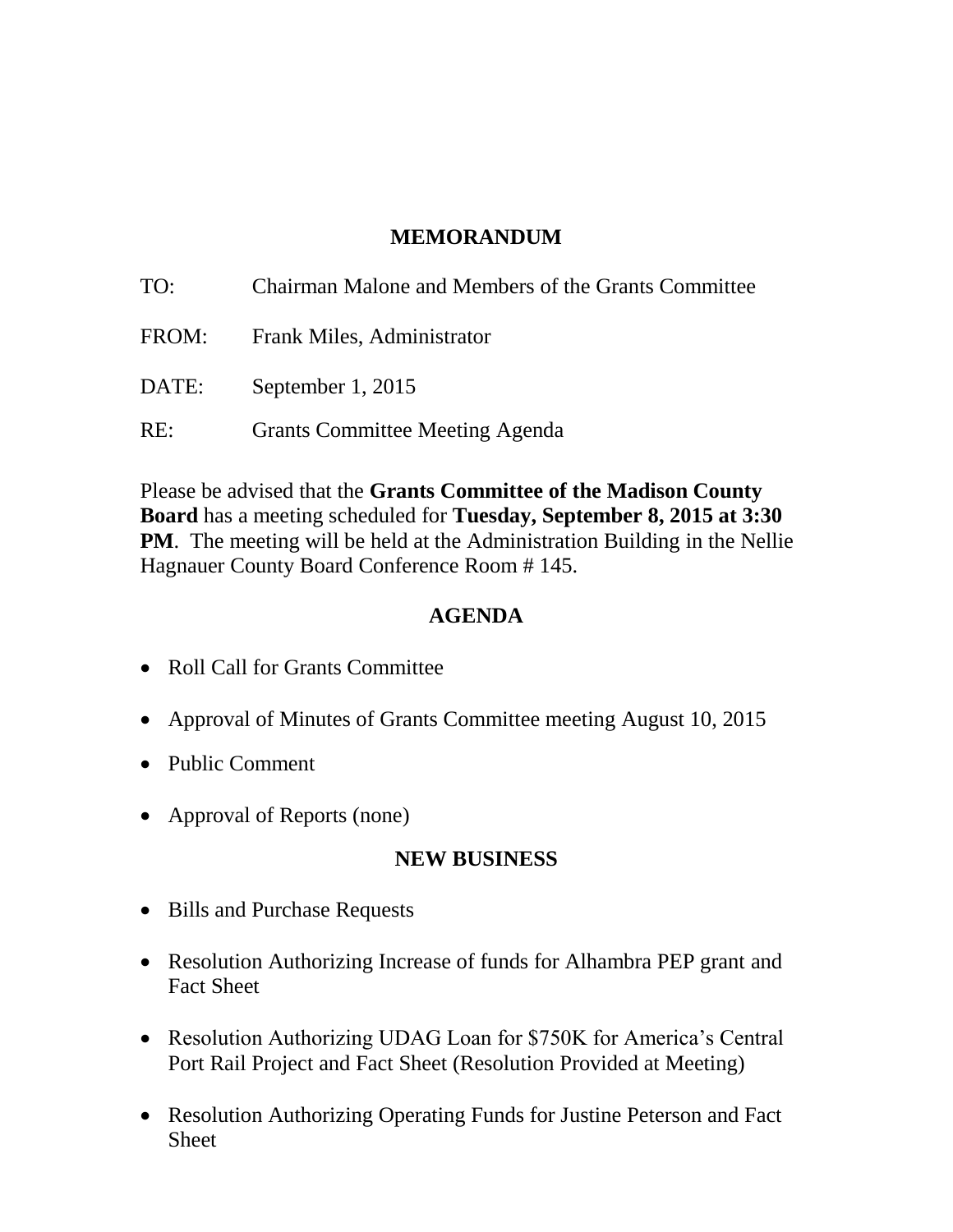### **MEMORANDUM**

| TO:   | Chairman Malone and Members of the Grants Committee |
|-------|-----------------------------------------------------|
| FROM: | Frank Miles, Administrator                          |
| DATE: | September 1, 2015                                   |
| RE:   | <b>Grants Committee Meeting Agenda</b>              |

Please be advised that the **Grants Committee of the Madison County Board** has a meeting scheduled for **Tuesday, September 8, 2015 at 3:30 PM**. The meeting will be held at the Administration Building in the Nellie Hagnauer County Board Conference Room # 145.

#### **AGENDA**

- Roll Call for Grants Committee
- Approval of Minutes of Grants Committee meeting August 10, 2015
- Public Comment
- Approval of Reports (none)

### **NEW BUSINESS**

- Bills and Purchase Requests
- Resolution Authorizing Increase of funds for Alhambra PEP grant and Fact Sheet
- Resolution Authorizing UDAG Loan for \$750K for America's Central Port Rail Project and Fact Sheet (Resolution Provided at Meeting)
- Resolution Authorizing Operating Funds for Justine Peterson and Fact Sheet